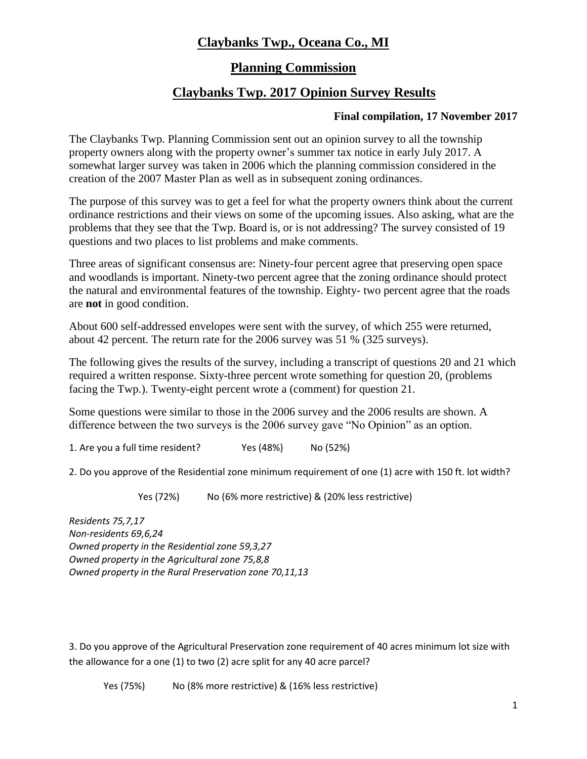### **Claybanks Twp., Oceana Co., MI**

### **Planning Commission**

### **Claybanks Twp. 2017 Opinion Survey Results**

#### **Final compilation, 17 November 2017**

The Claybanks Twp. Planning Commission sent out an opinion survey to all the township property owners along with the property owner's summer tax notice in early July 2017. A somewhat larger survey was taken in 2006 which the planning commission considered in the creation of the 2007 Master Plan as well as in subsequent zoning ordinances.

The purpose of this survey was to get a feel for what the property owners think about the current ordinance restrictions and their views on some of the upcoming issues. Also asking, what are the problems that they see that the Twp. Board is, or is not addressing? The survey consisted of 19 questions and two places to list problems and make comments.

Three areas of significant consensus are: Ninety-four percent agree that preserving open space and woodlands is important. Ninety-two percent agree that the zoning ordinance should protect the natural and environmental features of the township. Eighty- two percent agree that the roads are **not** in good condition.

About 600 self-addressed envelopes were sent with the survey, of which 255 were returned, about 42 percent. The return rate for the 2006 survey was 51 % (325 surveys).

The following gives the results of the survey, including a transcript of questions 20 and 21 which required a written response. Sixty-three percent wrote something for question 20, (problems facing the Twp.). Twenty-eight percent wrote a (comment) for question 21.

Some questions were similar to those in the 2006 survey and the 2006 results are shown. A difference between the two surveys is the 2006 survey gave "No Opinion" as an option.

1. Are you a full time resident? Yes (48%) No (52%)

2. Do you approve of the Residential zone minimum requirement of one (1) acre with 150 ft. lot width?

Yes (72%) No (6% more restrictive) & (20% less restrictive)

*Residents 75,7,17 Non-residents 69,6,24 Owned property in the Residential zone 59,3,27 Owned property in the Agricultural zone 75,8,8 Owned property in the Rural Preservation zone 70,11,13*

3. Do you approve of the Agricultural Preservation zone requirement of 40 acres minimum lot size with the allowance for a one (1) to two (2) acre split for any 40 acre parcel?

Yes (75%) No (8% more restrictive) & (16% less restrictive)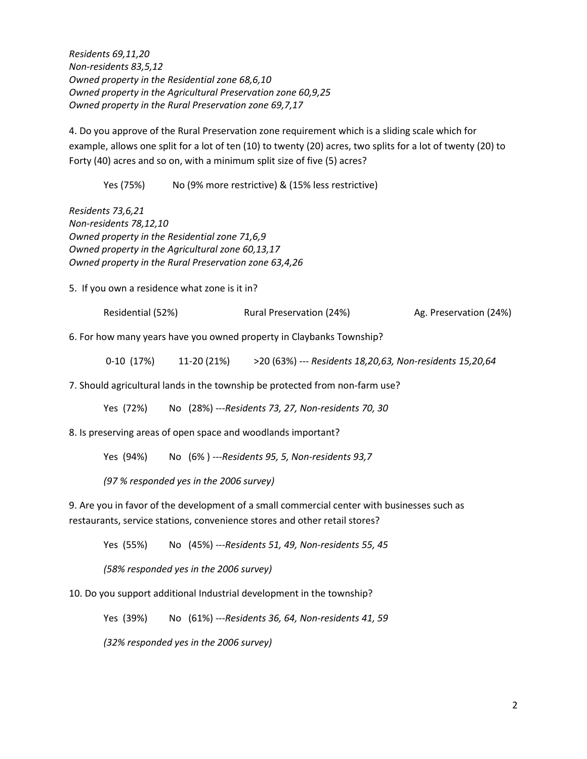*Residents 69,11,20 Non-residents 83,5,12 Owned property in the Residential zone 68,6,10 Owned property in the Agricultural Preservation zone 60,9,25 Owned property in the Rural Preservation zone 69,7,17*

4. Do you approve of the Rural Preservation zone requirement which is a sliding scale which for example, allows one split for a lot of ten (10) to twenty (20) acres, two splits for a lot of twenty (20) to Forty (40) acres and so on, with a minimum split size of five (5) acres?

Yes (75%) No (9% more restrictive) & (15% less restrictive)

*Residents 73,6,21 Non-residents 78,12,10 Owned property in the Residential zone 71,6,9 Owned property in the Agricultural zone 60,13,17 Owned property in the Rural Preservation zone 63,4,26* 

5. If you own a residence what zone is it in?

Residential (52%) **Rural Preservation (24%)** Ag. Preservation (24%)

6. For how many years have you owned property in Claybanks Township?

0-10 (17%) 11-20 (21%) >20 (63%) --- *Residents 18,20,63, Non-residents 15,20,64*

7. Should agricultural lands in the township be protected from non-farm use?

Yes (72%) No (28%) ---*Residents 73, 27, Non-residents 70, 30*

8. Is preserving areas of open space and woodlands important?

Yes (94%) No (6% ) ---*Residents 95, 5, Non-residents 93,7*

*(97 % responded yes in the 2006 survey)*

9. Are you in favor of the development of a small commercial center with businesses such as restaurants, service stations, convenience stores and other retail stores?

Yes (55%) No (45%) *---Residents 51, 49, Non-residents 55, 45*

*(58% responded yes in the 2006 survey)*

10. Do you support additional Industrial development in the township?

Yes (39%) No (61%) ---*Residents 36, 64, Non-residents 41, 59*

*(32% responded yes in the 2006 survey)*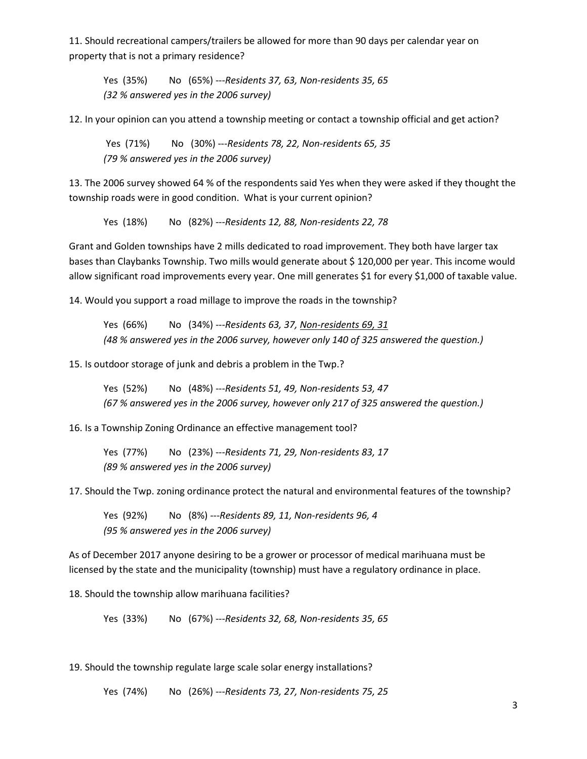11. Should recreational campers/trailers be allowed for more than 90 days per calendar year on property that is not a primary residence?

Yes (35%) No (65%) ---*Residents 37, 63, Non-residents 35, 65 (32 % answered yes in the 2006 survey)*

12. In your opinion can you attend a township meeting or contact a township official and get action?

Yes (71%) No (30%) ---*Residents 78, 22, Non-residents 65, 35 (79 % answered yes in the 2006 survey)*

13. The 2006 survey showed 64 % of the respondents said Yes when they were asked if they thought the township roads were in good condition. What is your current opinion?

Yes (18%) No (82%) ---*Residents 12, 88, Non-residents 22, 78* 

Grant and Golden townships have 2 mills dedicated to road improvement. They both have larger tax bases than Claybanks Township. Two mills would generate about \$ 120,000 per year. This income would allow significant road improvements every year. One mill generates \$1 for every \$1,000 of taxable value.

14. Would you support a road millage to improve the roads in the township?

Yes (66%) No (34%) ---*Residents 63, 37, Non-residents 69, 31 (48 % answered yes in the 2006 survey, however only 140 of 325 answered the question.)*

15. Is outdoor storage of junk and debris a problem in the Twp.?

Yes (52%) No (48%) ---*Residents 51, 49, Non-residents 53, 47 (67 % answered yes in the 2006 survey, however only 217 of 325 answered the question.)*

16. Is a Township Zoning Ordinance an effective management tool?

Yes (77%) No (23%) ---*Residents 71, 29, Non-residents 83, 17 (89 % answered yes in the 2006 survey)*

17. Should the Twp. zoning ordinance protect the natural and environmental features of the township?

Yes (92%) No (8%) ---*Residents 89, 11, Non-residents 96, 4 (95 % answered yes in the 2006 survey)*

As of December 2017 anyone desiring to be a grower or processor of medical marihuana must be licensed by the state and the municipality (township) must have a regulatory ordinance in place.

18. Should the township allow marihuana facilities?

Yes (33%) No (67%) ---*Residents 32, 68, Non-residents 35, 65* 

19. Should the township regulate large scale solar energy installations?

Yes (74%) No (26%) ---*Residents 73, 27, Non-residents 75, 25*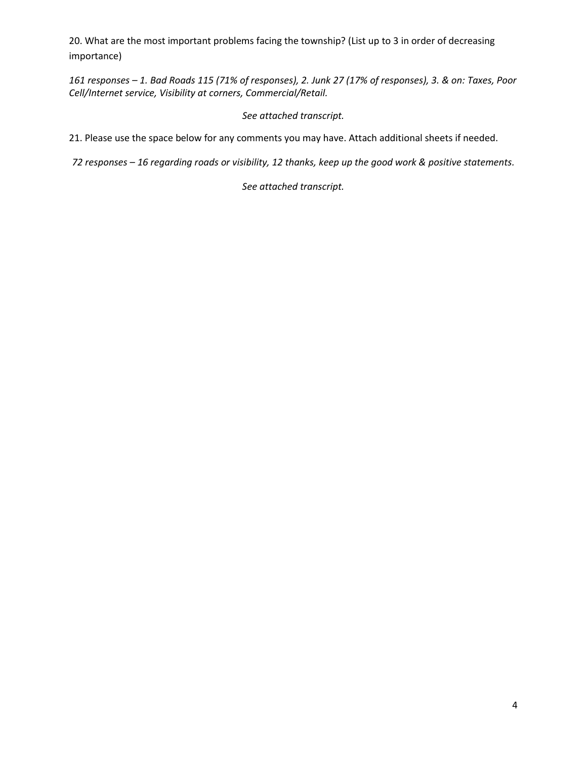20. What are the most important problems facing the township? (List up to 3 in order of decreasing importance)

*161 responses – 1. Bad Roads 115 (71% of responses), 2. Junk 27 (17% of responses), 3. & on: Taxes, Poor Cell/Internet service, Visibility at corners, Commercial/Retail.*

#### *See attached transcript.*

21. Please use the space below for any comments you may have. Attach additional sheets if needed.

*72 responses – 16 regarding roads or visibility, 12 thanks, keep up the good work & positive statements.* 

*See attached transcript.*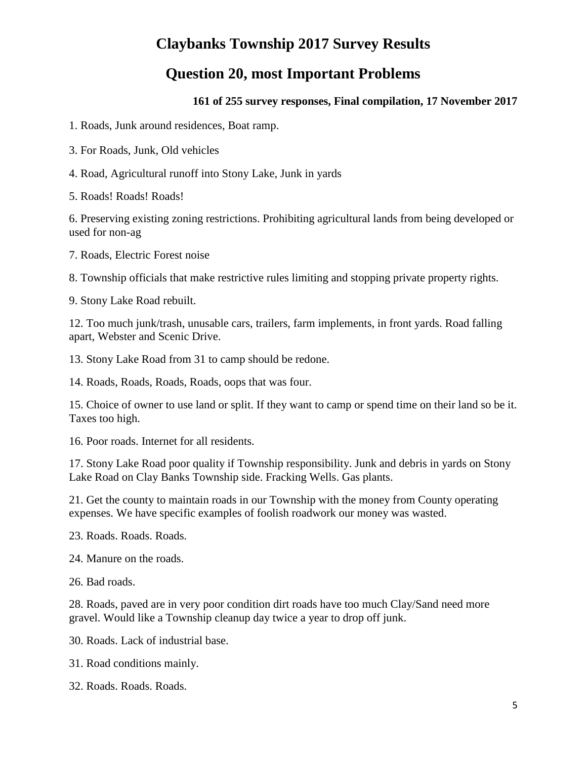## **Claybanks Township 2017 Survey Results**

## **Question 20, most Important Problems**

#### **161 of 255 survey responses, Final compilation, 17 November 2017**

1. Roads, Junk around residences, Boat ramp.

- 3. For Roads, Junk, Old vehicles
- 4. Road, Agricultural runoff into Stony Lake, Junk in yards

5. Roads! Roads! Roads!

6. Preserving existing zoning restrictions. Prohibiting agricultural lands from being developed or used for non-ag

7. Roads, Electric Forest noise

8. Township officials that make restrictive rules limiting and stopping private property rights.

9. Stony Lake Road rebuilt.

12. Too much junk/trash, unusable cars, trailers, farm implements, in front yards. Road falling apart, Webster and Scenic Drive.

13. Stony Lake Road from 31 to camp should be redone.

14. Roads, Roads, Roads, Roads, oops that was four.

15. Choice of owner to use land or split. If they want to camp or spend time on their land so be it. Taxes too high.

16. Poor roads. Internet for all residents.

17. Stony Lake Road poor quality if Township responsibility. Junk and debris in yards on Stony Lake Road on Clay Banks Township side. Fracking Wells. Gas plants.

21. Get the county to maintain roads in our Township with the money from County operating expenses. We have specific examples of foolish roadwork our money was wasted.

23. Roads. Roads. Roads.

24. Manure on the roads.

26. Bad roads.

28. Roads, paved are in very poor condition dirt roads have too much Clay/Sand need more gravel. Would like a Township cleanup day twice a year to drop off junk.

30. Roads. Lack of industrial base.

31. Road conditions mainly.

32. Roads. Roads. Roads.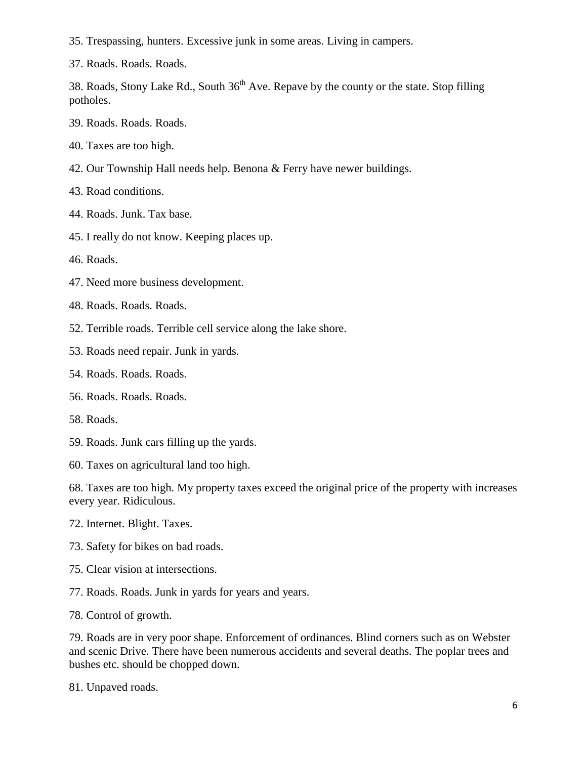35. Trespassing, hunters. Excessive junk in some areas. Living in campers.

37. Roads. Roads. Roads.

38. Roads, Stony Lake Rd., South  $36<sup>th</sup>$  Ave. Repave by the county or the state. Stop filling potholes.

- 39. Roads. Roads. Roads.
- 40. Taxes are too high.
- 42. Our Township Hall needs help. Benona & Ferry have newer buildings.

43. Road conditions.

- 44. Roads. Junk. Tax base.
- 45. I really do not know. Keeping places up.

46. Roads.

- 47. Need more business development.
- 48. Roads. Roads. Roads.
- 52. Terrible roads. Terrible cell service along the lake shore.
- 53. Roads need repair. Junk in yards.
- 54. Roads. Roads. Roads.
- 56. Roads. Roads. Roads.
- 58. Roads.
- 59. Roads. Junk cars filling up the yards.
- 60. Taxes on agricultural land too high.

68. Taxes are too high. My property taxes exceed the original price of the property with increases every year. Ridiculous.

- 72. Internet. Blight. Taxes.
- 73. Safety for bikes on bad roads.
- 75. Clear vision at intersections.
- 77. Roads. Roads. Junk in yards for years and years.
- 78. Control of growth.

79. Roads are in very poor shape. Enforcement of ordinances. Blind corners such as on Webster and scenic Drive. There have been numerous accidents and several deaths. The poplar trees and bushes etc. should be chopped down.

81. Unpaved roads.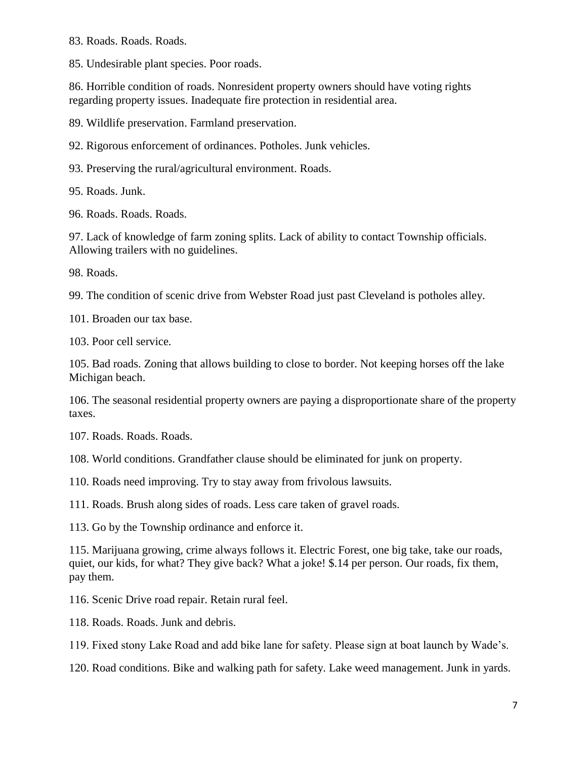83. Roads. Roads. Roads.

85. Undesirable plant species. Poor roads.

86. Horrible condition of roads. Nonresident property owners should have voting rights regarding property issues. Inadequate fire protection in residential area.

89. Wildlife preservation. Farmland preservation.

92. Rigorous enforcement of ordinances. Potholes. Junk vehicles.

93. Preserving the rural/agricultural environment. Roads.

95. Roads. Junk.

96. Roads. Roads. Roads.

97. Lack of knowledge of farm zoning splits. Lack of ability to contact Township officials. Allowing trailers with no guidelines.

98. Roads.

99. The condition of scenic drive from Webster Road just past Cleveland is potholes alley.

101. Broaden our tax base.

103. Poor cell service.

105. Bad roads. Zoning that allows building to close to border. Not keeping horses off the lake Michigan beach.

106. The seasonal residential property owners are paying a disproportionate share of the property taxes.

107. Roads. Roads. Roads.

108. World conditions. Grandfather clause should be eliminated for junk on property.

110. Roads need improving. Try to stay away from frivolous lawsuits.

111. Roads. Brush along sides of roads. Less care taken of gravel roads.

113. Go by the Township ordinance and enforce it.

115. Marijuana growing, crime always follows it. Electric Forest, one big take, take our roads, quiet, our kids, for what? They give back? What a joke! \$.14 per person. Our roads, fix them, pay them.

116. Scenic Drive road repair. Retain rural feel.

118. Roads. Roads. Junk and debris.

119. Fixed stony Lake Road and add bike lane for safety. Please sign at boat launch by Wade's.

120. Road conditions. Bike and walking path for safety. Lake weed management. Junk in yards.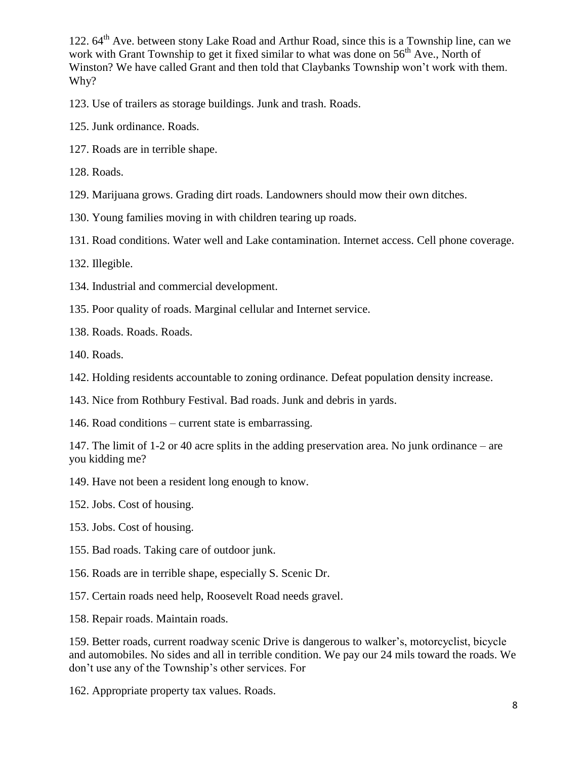122.  $64<sup>th</sup>$  Ave. between stony Lake Road and Arthur Road, since this is a Township line, can we work with Grant Township to get it fixed similar to what was done on  $56<sup>th</sup>$  Ave., North of Winston? We have called Grant and then told that Claybanks Township won't work with them. Why?

- 123. Use of trailers as storage buildings. Junk and trash. Roads.
- 125. Junk ordinance. Roads.
- 127. Roads are in terrible shape.
- 128. Roads.
- 129. Marijuana grows. Grading dirt roads. Landowners should mow their own ditches.
- 130. Young families moving in with children tearing up roads.
- 131. Road conditions. Water well and Lake contamination. Internet access. Cell phone coverage.
- 132. Illegible.
- 134. Industrial and commercial development.
- 135. Poor quality of roads. Marginal cellular and Internet service.
- 138. Roads. Roads. Roads.
- 140. Roads.
- 142. Holding residents accountable to zoning ordinance. Defeat population density increase.
- 143. Nice from Rothbury Festival. Bad roads. Junk and debris in yards.
- 146. Road conditions current state is embarrassing.

147. The limit of 1-2 or 40 acre splits in the adding preservation area. No junk ordinance – are you kidding me?

- 149. Have not been a resident long enough to know.
- 152. Jobs. Cost of housing.
- 153. Jobs. Cost of housing.
- 155. Bad roads. Taking care of outdoor junk.
- 156. Roads are in terrible shape, especially S. Scenic Dr.
- 157. Certain roads need help, Roosevelt Road needs gravel.
- 158. Repair roads. Maintain roads.

159. Better roads, current roadway scenic Drive is dangerous to walker's, motorcyclist, bicycle and automobiles. No sides and all in terrible condition. We pay our 24 mils toward the roads. We don't use any of the Township's other services. For

162. Appropriate property tax values. Roads.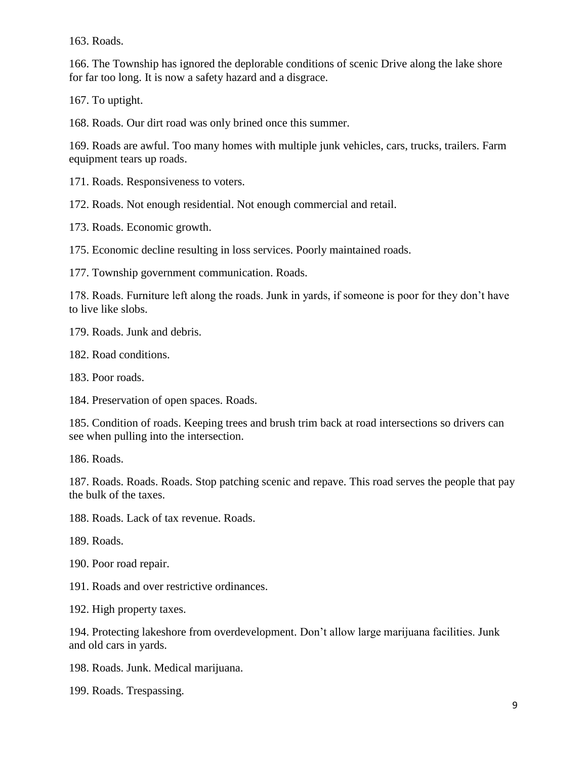163. Roads.

166. The Township has ignored the deplorable conditions of scenic Drive along the lake shore for far too long. It is now a safety hazard and a disgrace.

167. To uptight.

168. Roads. Our dirt road was only brined once this summer.

169. Roads are awful. Too many homes with multiple junk vehicles, cars, trucks, trailers. Farm equipment tears up roads.

171. Roads. Responsiveness to voters.

172. Roads. Not enough residential. Not enough commercial and retail.

173. Roads. Economic growth.

175. Economic decline resulting in loss services. Poorly maintained roads.

177. Township government communication. Roads.

178. Roads. Furniture left along the roads. Junk in yards, if someone is poor for they don't have to live like slobs.

179. Roads. Junk and debris.

182. Road conditions.

183. Poor roads.

184. Preservation of open spaces. Roads.

185. Condition of roads. Keeping trees and brush trim back at road intersections so drivers can see when pulling into the intersection.

186. Roads.

187. Roads. Roads. Roads. Stop patching scenic and repave. This road serves the people that pay the bulk of the taxes.

188. Roads. Lack of tax revenue. Roads.

189. Roads.

190. Poor road repair.

191. Roads and over restrictive ordinances.

192. High property taxes.

194. Protecting lakeshore from overdevelopment. Don't allow large marijuana facilities. Junk and old cars in yards.

198. Roads. Junk. Medical marijuana.

199. Roads. Trespassing.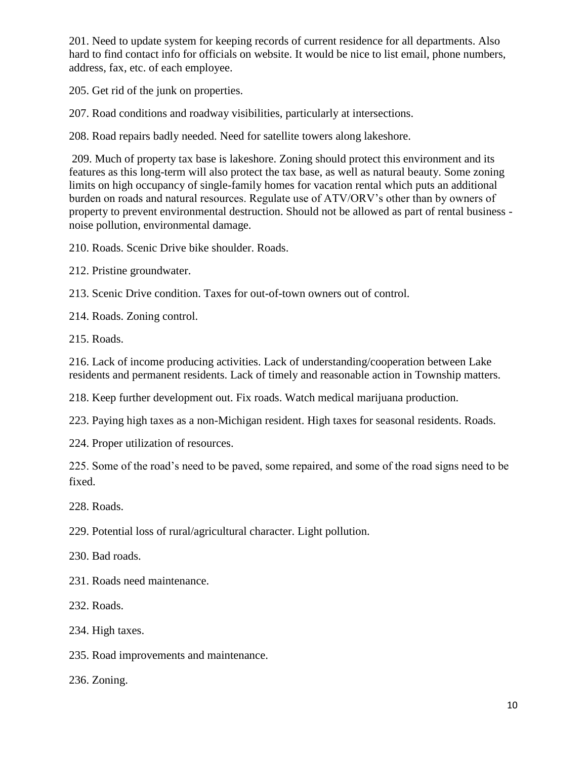201. Need to update system for keeping records of current residence for all departments. Also hard to find contact info for officials on website. It would be nice to list email, phone numbers, address, fax, etc. of each employee.

205. Get rid of the junk on properties.

207. Road conditions and roadway visibilities, particularly at intersections.

208. Road repairs badly needed. Need for satellite towers along lakeshore.

209. Much of property tax base is lakeshore. Zoning should protect this environment and its features as this long-term will also protect the tax base, as well as natural beauty. Some zoning limits on high occupancy of single-family homes for vacation rental which puts an additional burden on roads and natural resources. Regulate use of ATV/ORV's other than by owners of property to prevent environmental destruction. Should not be allowed as part of rental business noise pollution, environmental damage.

210. Roads. Scenic Drive bike shoulder. Roads.

212. Pristine groundwater.

213. Scenic Drive condition. Taxes for out-of-town owners out of control.

214. Roads. Zoning control.

215. Roads.

216. Lack of income producing activities. Lack of understanding/cooperation between Lake residents and permanent residents. Lack of timely and reasonable action in Township matters.

218. Keep further development out. Fix roads. Watch medical marijuana production.

223. Paying high taxes as a non-Michigan resident. High taxes for seasonal residents. Roads.

224. Proper utilization of resources.

225. Some of the road's need to be paved, some repaired, and some of the road signs need to be fixed.

228. Roads.

229. Potential loss of rural/agricultural character. Light pollution.

230. Bad roads.

231. Roads need maintenance.

232. Roads.

234. High taxes.

235. Road improvements and maintenance.

236. Zoning.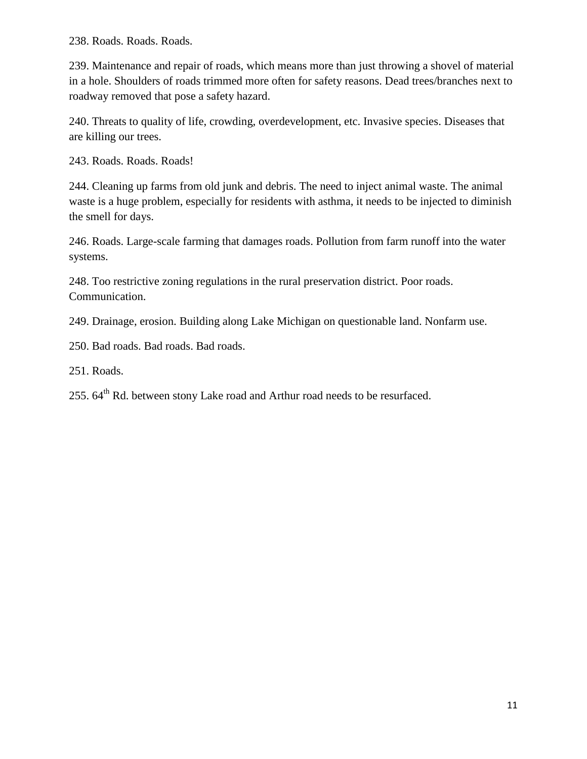238. Roads. Roads. Roads.

239. Maintenance and repair of roads, which means more than just throwing a shovel of material in a hole. Shoulders of roads trimmed more often for safety reasons. Dead trees/branches next to roadway removed that pose a safety hazard.

240. Threats to quality of life, crowding, overdevelopment, etc. Invasive species. Diseases that are killing our trees.

243. Roads. Roads. Roads!

244. Cleaning up farms from old junk and debris. The need to inject animal waste. The animal waste is a huge problem, especially for residents with asthma, it needs to be injected to diminish the smell for days.

246. Roads. Large-scale farming that damages roads. Pollution from farm runoff into the water systems.

248. Too restrictive zoning regulations in the rural preservation district. Poor roads. Communication.

249. Drainage, erosion. Building along Lake Michigan on questionable land. Nonfarm use.

250. Bad roads. Bad roads. Bad roads.

251. Roads.

255.  $64<sup>th</sup>$  Rd. between stony Lake road and Arthur road needs to be resurfaced.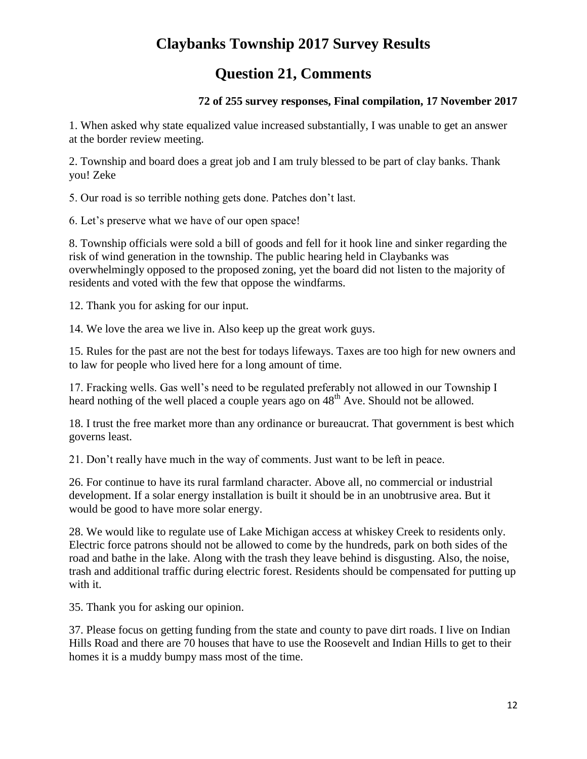# **Claybanks Township 2017 Survey Results**

## **Question 21, Comments**

#### **72 of 255 survey responses, Final compilation, 17 November 2017**

1. When asked why state equalized value increased substantially, I was unable to get an answer at the border review meeting.

2. Township and board does a great job and I am truly blessed to be part of clay banks. Thank you! Zeke

5. Our road is so terrible nothing gets done. Patches don't last.

6. Let's preserve what we have of our open space!

8. Township officials were sold a bill of goods and fell for it hook line and sinker regarding the risk of wind generation in the township. The public hearing held in Claybanks was overwhelmingly opposed to the proposed zoning, yet the board did not listen to the majority of residents and voted with the few that oppose the windfarms.

12. Thank you for asking for our input.

14. We love the area we live in. Also keep up the great work guys.

15. Rules for the past are not the best for todays lifeways. Taxes are too high for new owners and to law for people who lived here for a long amount of time.

17. Fracking wells. Gas well's need to be regulated preferably not allowed in our Township I heard nothing of the well placed a couple years ago on  $48<sup>th</sup>$  Ave. Should not be allowed.

18. I trust the free market more than any ordinance or bureaucrat. That government is best which governs least.

21. Don't really have much in the way of comments. Just want to be left in peace.

26. For continue to have its rural farmland character. Above all, no commercial or industrial development. If a solar energy installation is built it should be in an unobtrusive area. But it would be good to have more solar energy.

28. We would like to regulate use of Lake Michigan access at whiskey Creek to residents only. Electric force patrons should not be allowed to come by the hundreds, park on both sides of the road and bathe in the lake. Along with the trash they leave behind is disgusting. Also, the noise, trash and additional traffic during electric forest. Residents should be compensated for putting up with it.

35. Thank you for asking our opinion.

37. Please focus on getting funding from the state and county to pave dirt roads. I live on Indian Hills Road and there are 70 houses that have to use the Roosevelt and Indian Hills to get to their homes it is a muddy bumpy mass most of the time.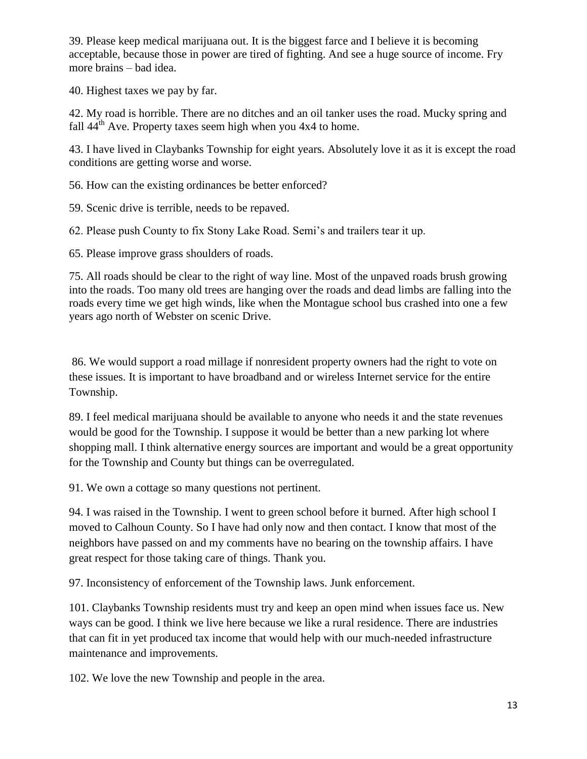39. Please keep medical marijuana out. It is the biggest farce and I believe it is becoming acceptable, because those in power are tired of fighting. And see a huge source of income. Fry more brains – bad idea.

40. Highest taxes we pay by far.

42. My road is horrible. There are no ditches and an oil tanker uses the road. Mucky spring and fall  $44<sup>th</sup>$  Ave. Property taxes seem high when you  $4x4$  to home.

43. I have lived in Claybanks Township for eight years. Absolutely love it as it is except the road conditions are getting worse and worse.

56. How can the existing ordinances be better enforced?

59. Scenic drive is terrible, needs to be repaved.

62. Please push County to fix Stony Lake Road. Semi's and trailers tear it up.

65. Please improve grass shoulders of roads.

75. All roads should be clear to the right of way line. Most of the unpaved roads brush growing into the roads. Too many old trees are hanging over the roads and dead limbs are falling into the roads every time we get high winds, like when the Montague school bus crashed into one a few years ago north of Webster on scenic Drive.

86. We would support a road millage if nonresident property owners had the right to vote on these issues. It is important to have broadband and or wireless Internet service for the entire Township.

89. I feel medical marijuana should be available to anyone who needs it and the state revenues would be good for the Township. I suppose it would be better than a new parking lot where shopping mall. I think alternative energy sources are important and would be a great opportunity for the Township and County but things can be overregulated.

91. We own a cottage so many questions not pertinent.

94. I was raised in the Township. I went to green school before it burned. After high school I moved to Calhoun County. So I have had only now and then contact. I know that most of the neighbors have passed on and my comments have no bearing on the township affairs. I have great respect for those taking care of things. Thank you.

97. Inconsistency of enforcement of the Township laws. Junk enforcement.

101. Claybanks Township residents must try and keep an open mind when issues face us. New ways can be good. I think we live here because we like a rural residence. There are industries that can fit in yet produced tax income that would help with our much-needed infrastructure maintenance and improvements.

102. We love the new Township and people in the area.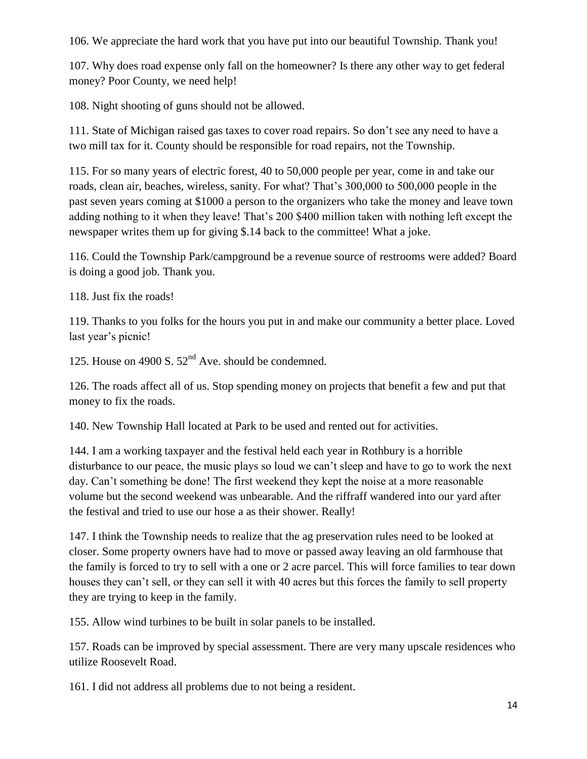106. We appreciate the hard work that you have put into our beautiful Township. Thank you!

107. Why does road expense only fall on the homeowner? Is there any other way to get federal money? Poor County, we need help!

108. Night shooting of guns should not be allowed.

111. State of Michigan raised gas taxes to cover road repairs. So don't see any need to have a two mill tax for it. County should be responsible for road repairs, not the Township.

115. For so many years of electric forest, 40 to 50,000 people per year, come in and take our roads, clean air, beaches, wireless, sanity. For what? That's 300,000 to 500,000 people in the past seven years coming at \$1000 a person to the organizers who take the money and leave town adding nothing to it when they leave! That's 200 \$400 million taken with nothing left except the newspaper writes them up for giving \$.14 back to the committee! What a joke.

116. Could the Township Park/campground be a revenue source of restrooms were added? Board is doing a good job. Thank you.

118. Just fix the roads!

119. Thanks to you folks for the hours you put in and make our community a better place. Loved last year's picnic!

125. House on 4900 S.  $52<sup>nd</sup>$  Ave. should be condemned.

126. The roads affect all of us. Stop spending money on projects that benefit a few and put that money to fix the roads.

140. New Township Hall located at Park to be used and rented out for activities.

144. I am a working taxpayer and the festival held each year in Rothbury is a horrible disturbance to our peace, the music plays so loud we can't sleep and have to go to work the next day. Can't something be done! The first weekend they kept the noise at a more reasonable volume but the second weekend was unbearable. And the riffraff wandered into our yard after the festival and tried to use our hose a as their shower. Really!

147. I think the Township needs to realize that the ag preservation rules need to be looked at closer. Some property owners have had to move or passed away leaving an old farmhouse that the family is forced to try to sell with a one or 2 acre parcel. This will force families to tear down houses they can't sell, or they can sell it with 40 acres but this forces the family to sell property they are trying to keep in the family.

155. Allow wind turbines to be built in solar panels to be installed.

157. Roads can be improved by special assessment. There are very many upscale residences who utilize Roosevelt Road.

161. I did not address all problems due to not being a resident.